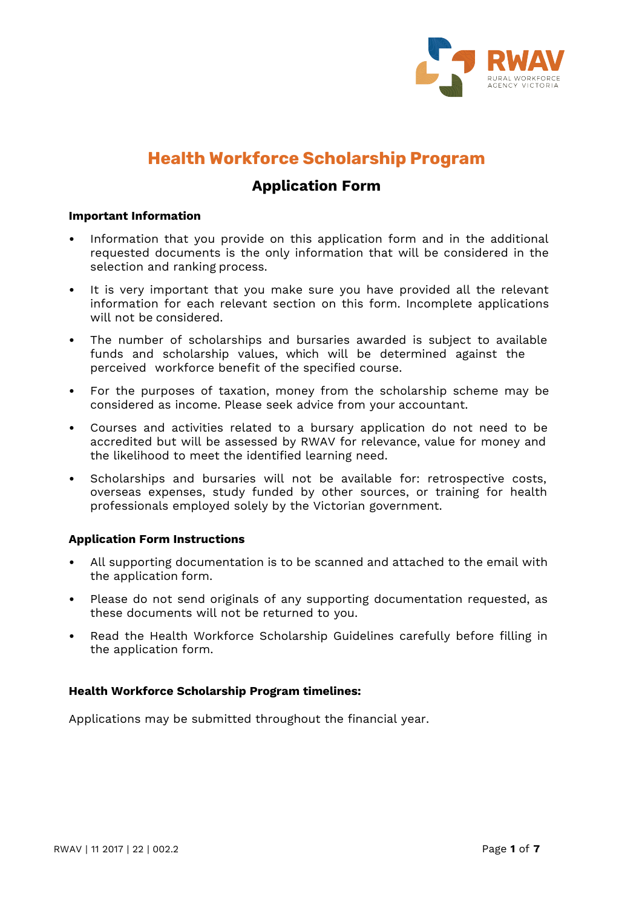

# **Health Workforce Scholarship Program**

### **Application Form**

#### **Important Information**

- Information that you provide on this application form and in the additional requested documents is the only information that will be considered in the selection and ranking process.
- It is very important that you make sure you have provided all the relevant information for each relevant section on this form. Incomplete applications will not be considered.
- The number of scholarships and bursaries awarded is subject to available funds and scholarship values, which will be determined against the perceived workforce benefit of the specified course.
- For the purposes of taxation, money from the scholarship scheme may be considered as income. Please seek advice from your accountant.
- Courses and activities related to a bursary application do not need to be accredited but will be assessed by RWAV for relevance, value for money and the likelihood to meet the identified learning need.
- Scholarships and bursaries will not be available for: retrospective costs, overseas expenses, study funded by other sources, or training for health professionals employed solely by the Victorian government.

### **Application Form Instructions**

- All supporting documentation is to be scanned and attached to the email with the application form.
- Please do not send originals of any supporting documentation requested, as these documents will not be returned to you.
- Read the Health Workforce Scholarship Guidelines carefully before filling in the application form.

### **Health Workforce Scholarship Program timelines:**

Applications may be submitted throughout the financial year.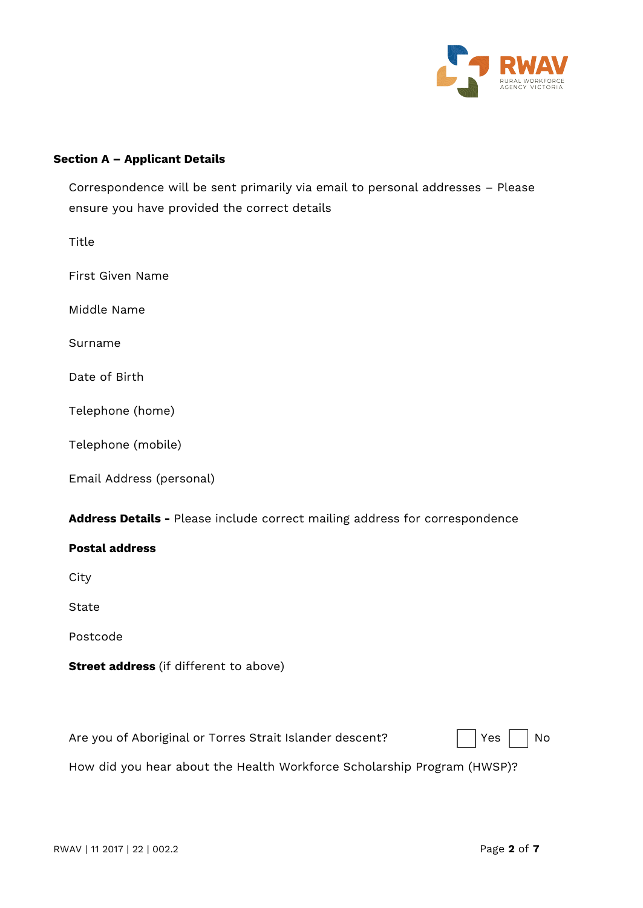

### **Section A – Applicant Details**

Correspondence will be sent primarily via email to personal addresses – Please ensure you have provided the correct details

Title First Given Name Middle Name Surname Date of Birth Telephone (home) Telephone (mobile) Email Address (personal)

| Address Details - Please include correct mailing address for correspondence                                                                      |
|--------------------------------------------------------------------------------------------------------------------------------------------------|
| <b>Postal address</b>                                                                                                                            |
| City                                                                                                                                             |
| State                                                                                                                                            |
| Postcode                                                                                                                                         |
| <b>Street address</b> (if different to above)                                                                                                    |
|                                                                                                                                                  |
| Are you of Aboriginal or Torres Strait Islander descent?<br>Yes<br>No<br>How did you hear about the Health Workforce Scholarship Program (HWSP)? |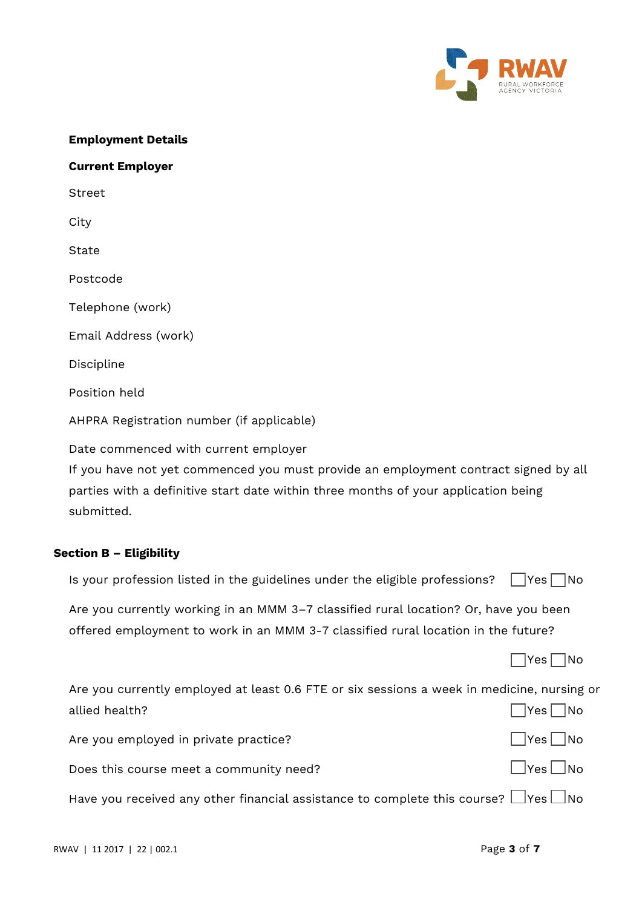

#### **Employment Details**

## **Current Employer**

Street

**City** 

**State** 

Postcode

Telephone (work)

Email Address (work)

Discipline

Position held

AHPRA Registration number (if applicable)

Date commenced with current employer

If you have not yet commenced you must provide an employment contract signed by all parties with a definitive start date within three months of your application being submitted.

### **Section B – Eligibility**

|  |  |  |  |  | Is your profession listed in the guidelines under the eligible professions? $\Box$ Yes $\Box$ No |  |  |
|--|--|--|--|--|--------------------------------------------------------------------------------------------------|--|--|
|--|--|--|--|--|--------------------------------------------------------------------------------------------------|--|--|

Are you currently working in an MMM 3–7 classified rural location? Or, have you been offered employment to work in an MMM 3-7 classified rural location in the future?

 $\Box$ Yes  $\Box$ No

| Are you currently employed at least 0.6 FTE or six sessions a week in medicine, nursing or     |                      |
|------------------------------------------------------------------------------------------------|----------------------|
| allied health?                                                                                 | $\Box$ Yes $\Box$ No |
| Are you employed in private practice?                                                          | $\Box$ Yes $\Box$ No |
| Does this course meet a community need?                                                        | $\Box$ Yes $\Box$ No |
| Have you received any other financial assistance to complete this course? $\Box$ Yes $\Box$ No |                      |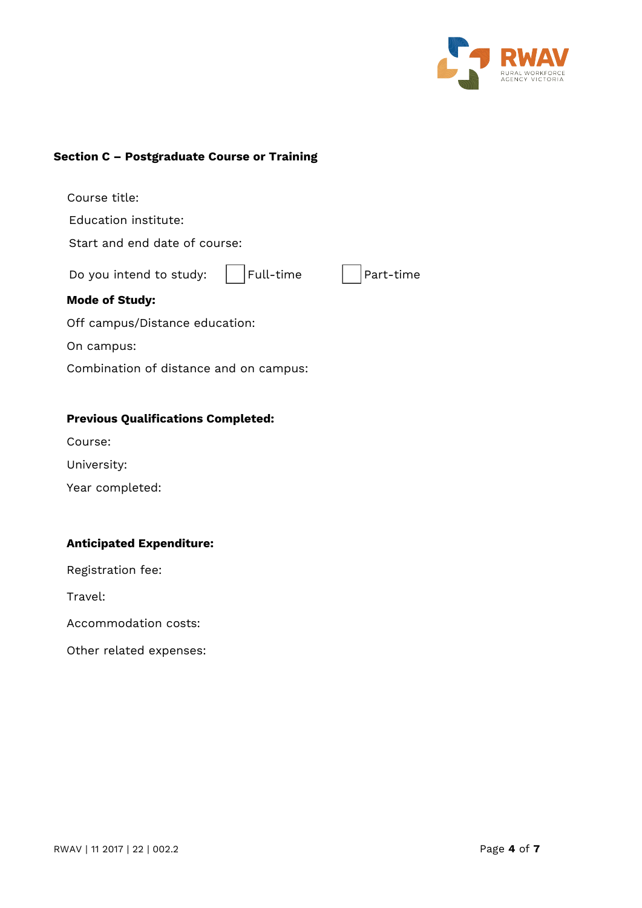

### **Section C – Postgraduate Course or Training**

| Course title:                          |           |
|----------------------------------------|-----------|
| Education institute:                   |           |
| Start and end date of course:          |           |
| Full-time<br>Do you intend to study:   | Part-time |
| <b>Mode of Study:</b>                  |           |
| Off campus/Distance education:         |           |
| On campus:                             |           |
| Combination of distance and on campus: |           |
|                                        |           |

### **Previous Qualifications Completed:**

- Course:
- University:
- Year completed:

### **Anticipated Expenditure:**

Registration fee:

Travel:

Accommodation costs:

Other related expenses: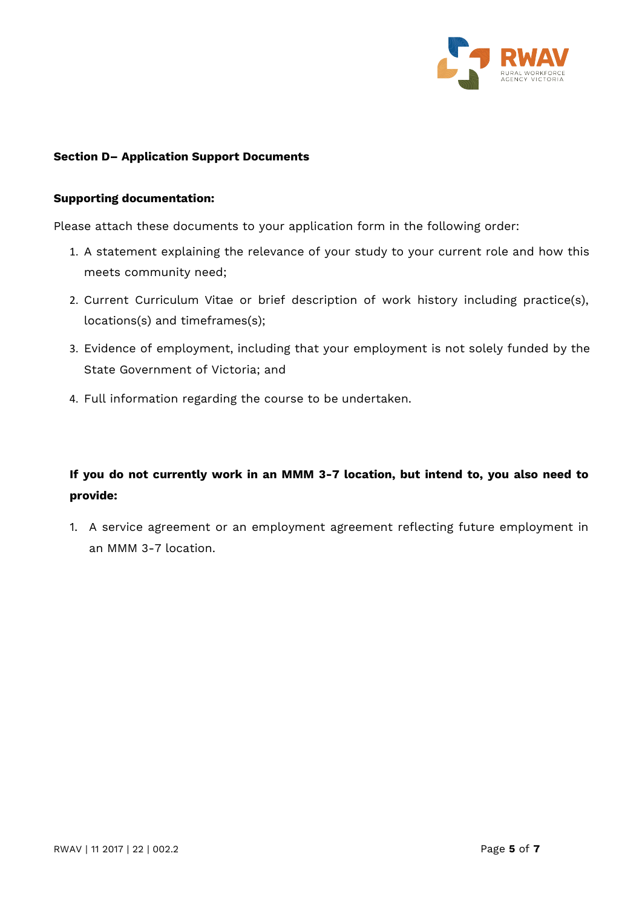

### **Section D– Application Support Documents**

#### **Supporting documentation:**

Please attach these documents to your application form in the following order:

- 1. A statement explaining the relevance of your study to your current role and how this meets community need;
- 2. Current Curriculum Vitae or brief description of work history including practice(s), locations(s) and timeframes(s);
- 3. Evidence of employment, including that your employment is not solely funded by the State Government of Victoria; and
- 4. Full information regarding the course to be undertaken.

### **If you do not currently work in an MMM 3-7 location, but intend to, you also need to provide:**

1. A service agreement or an employment agreement reflecting future employment in an MMM 3-7 location.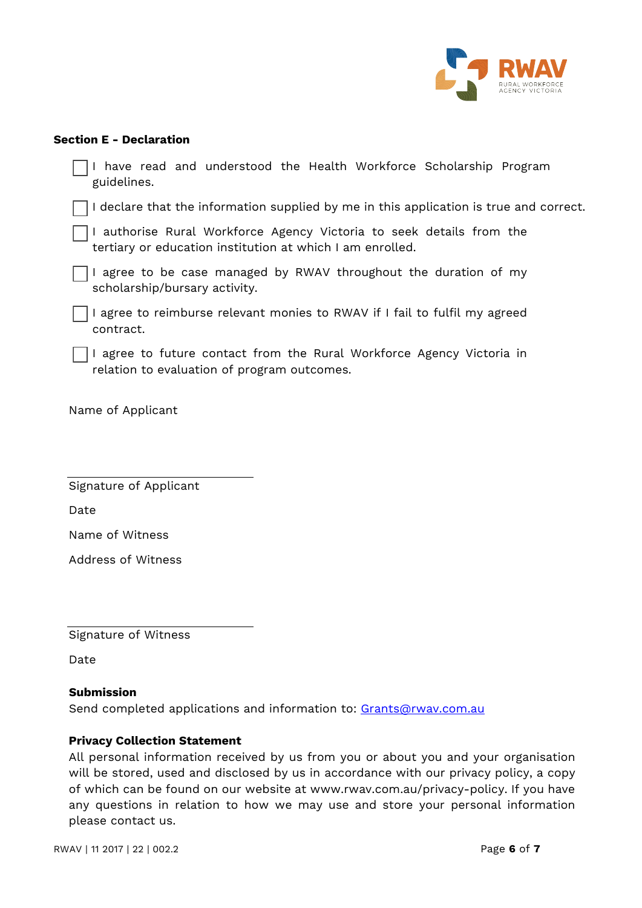

### **Section E - Declaration**

| have read and understood the Health Workforce Scholarship Program<br>guidelines.                                                  |  |  |  |
|-----------------------------------------------------------------------------------------------------------------------------------|--|--|--|
| I declare that the information supplied by me in this application is true and correct.                                            |  |  |  |
| I authorise Rural Workforce Agency Victoria to seek details from the<br>tertiary or education institution at which I am enrolled. |  |  |  |
| I agree to be case managed by RWAV throughout the duration of my<br>scholarship/bursary activity.                                 |  |  |  |
| I agree to reimburse relevant monies to RWAV if I fail to fulfil my agreed<br>contract.                                           |  |  |  |
| I agree to future contact from the Rural Workforce Agency Victoria in<br>relation to evaluation of program outcomes.              |  |  |  |
| Name of Applicant                                                                                                                 |  |  |  |
| Signature of Applicant                                                                                                            |  |  |  |
| Date                                                                                                                              |  |  |  |
| Name of Witness                                                                                                                   |  |  |  |
| Address of Witness                                                                                                                |  |  |  |
|                                                                                                                                   |  |  |  |
|                                                                                                                                   |  |  |  |

Signature of Witness

Date

### **Submission**

Send completed applications and information to: [Grants@rwav.com.au](mailto:Grants@rwav.com.au)

### **Privacy Collection Statement**

All personal information received by us from you or about you and your organisation will be stored, used and disclosed by us in accordance with our privacy policy, a copy of which can be found on our website at [www.rwav.com.au/privacy-policy.](http://www.rwav.com.au/privacy-policy) If you have any questions in relation to how we may use and store your personal information please contact us.